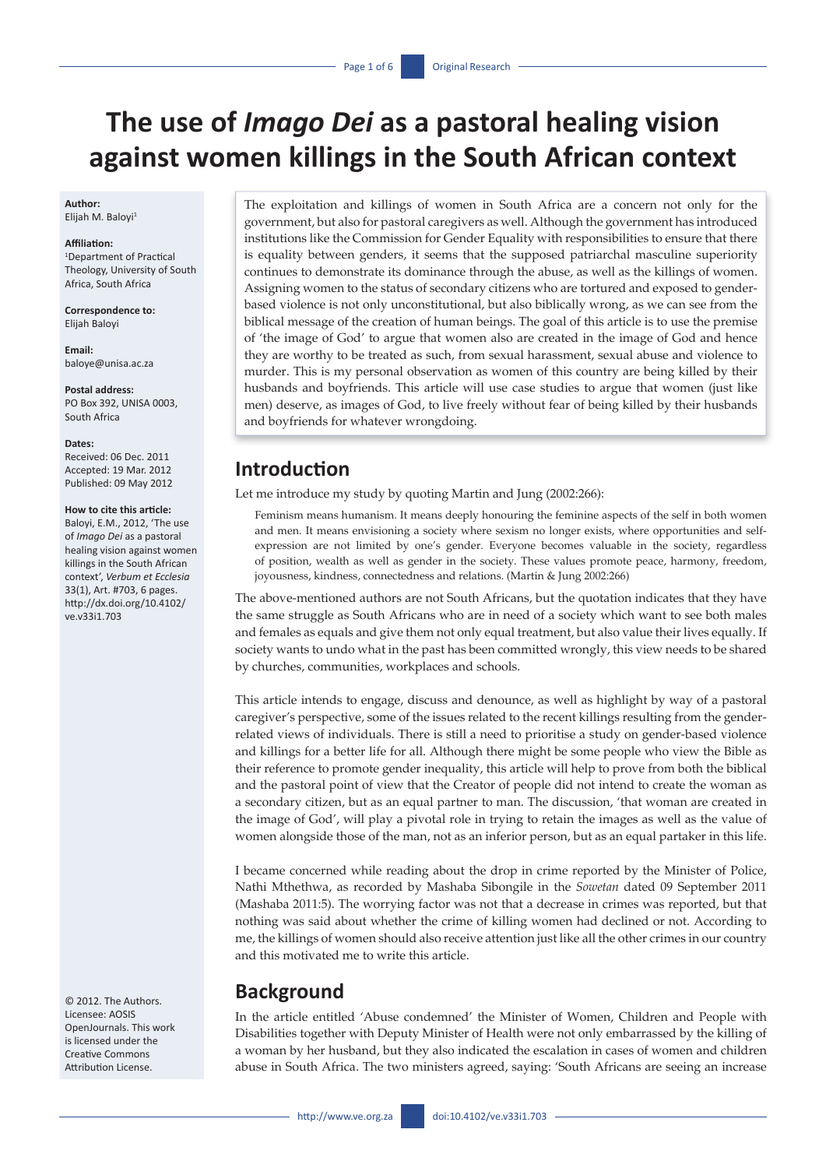# **The use of** *Imago Dei* **as a pastoral healing vision against women killings in the South African context**

#### **Author:** Elijah M. Baloyi<sup>1</sup>

#### **Affiliation:**

1 Department of Practical Theology, University of South Africa, South Africa

**Correspondence to:** Elijah Baloyi

**Email:** [baloye@unisa.ac.za](mailto:baloye@unisa.ac.za)

**Postal address:** PO Box 392, UNISA 0003, South Africa

#### **Dates:**

Received: 06 Dec. 2011 Accepted: 19 Mar. 2012 Published: 09 May 2012

#### **How to cite this article:**

Baloyi, E.M., 2012, 'The use of *Imago Dei* as a pastoral healing vision against women killings in the South African context', *Verbum et Ecclesia* 33(1), Art. #703, 6 pages. [http://dx.doi.org/10.4102/](http://dx.doi.org/10.4102/ve.v33i1.703) [ve.v33i1.703](http://dx.doi.org/10.4102/ve.v33i1.703)

© 2012. The Authors. Licensee: AOSIS OpenJournals. This work is licensed under the Creative Commons Attribution License.

The exploitation and killings of women in South Africa are a concern not only for the government, but also for pastoral caregivers as well. Although the government has introduced institutions like the Commission for Gender Equality with responsibilities to ensure that there is equality between genders, it seems that the supposed patriarchal masculine superiority continues to demonstrate its dominance through the abuse, as well as the killings of women. Assigning women to the status of secondary citizens who are tortured and exposed to genderbased violence is not only unconstitutional, but also biblically wrong, as we can see from the biblical message of the creation of human beings. The goal of this article is to use the premise of 'the image of God' to argue that women also are created in the image of God and hence they are worthy to be treated as such, from sexual harassment, sexual abuse and violence to murder. This is my personal observation as women of this country are being killed by their husbands and boyfriends. This article will use case studies to argue that women (just like men) deserve, as images of God, to live freely without fear of being killed by their husbands and boyfriends for whatever wrongdoing.

# **Introduction**

Let me introduce my study by quoting Martin and Jung (2002:266):

Feminism means humanism. It means deeply honouring the feminine aspects of the self in both women and men. It means envisioning a society where sexism no longer exists, where opportunities and selfexpression are not limited by one's gender. Everyone becomes valuable in the society, regardless of position, wealth as well as gender in the society. These values promote peace, harmony, freedom, joyousness, kindness, connectedness and relations. (Martin & Jung 2002:266)

The above-mentioned authors are not South Africans, but the quotation indicates that they have the same struggle as South Africans who are in need of a society which want to see both males and females as equals and give them not only equal treatment, but also value their lives equally. If society wants to undo what in the past has been committed wrongly, this view needs to be shared by churches, communities, workplaces and schools.

This article intends to engage, discuss and denounce, as well as highlight by way of a pastoral caregiver's perspective, some of the issues related to the recent killings resulting from the genderrelated views of individuals. There is still a need to prioritise a study on gender-based violence and killings for a better life for all. Although there might be some people who view the Bible as their reference to promote gender inequality, this article will help to prove from both the biblical and the pastoral point of view that the Creator of people did not intend to create the woman as a secondary citizen, but as an equal partner to man. The discussion, 'that woman are created in the image of God', will play a pivotal role in trying to retain the images as well as the value of women alongside those of the man, not as an inferior person, but as an equal partaker in this life.

I became concerned while reading about the drop in crime reported by the Minister of Police, Nathi Mthethwa, as recorded by Mashaba Sibongile in the *Sowetan* dated 09 September 2011 (Mashaba 2011:5). The worrying factor was not that a decrease in crimes was reported, but that nothing was said about whether the crime of killing women had declined or not. According to me, the killings of women should also receive attention just like all the other crimes in our country and this motivated me to write this article.

# **Background**

In the article entitled 'Abuse condemned' the Minister of Women, Children and People with Disabilities together with Deputy Minister of Health were not only embarrassed by the killing of a woman by her husband, but they also indicated the escalation in cases of women and children abuse in South Africa. The two ministers agreed, saying: 'South Africans are seeing an increase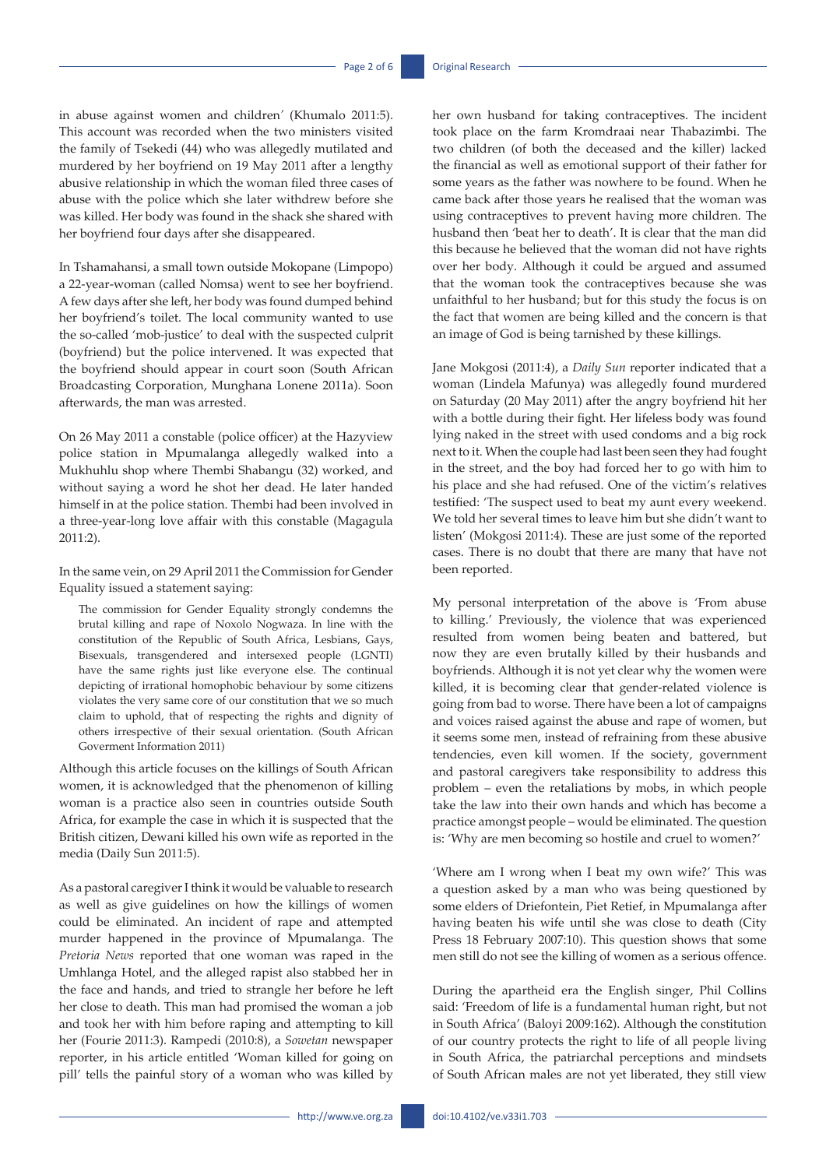in abuse against women and children*'* (Khumalo 2011:5). This account was recorded when the two ministers visited the family of Tsekedi (44) who was allegedly mutilated and murdered by her boyfriend on 19 May 2011 after a lengthy abusive relationship in which the woman filed three cases of abuse with the police which she later withdrew before she was killed. Her body was found in the shack she shared with her boyfriend four days after she disappeared.

In Tshamahansi, a small town outside Mokopane (Limpopo) a 22-year-woman (called Nomsa) went to see her boyfriend. A few days after she left, her body was found dumped behind her boyfriend's toilet. The local community wanted to use the so-called 'mob-justice' to deal with the suspected culprit (boyfriend) but the police intervened. It was expected that the boyfriend should appear in court soon (South African Broadcasting Corporation, Munghana Lonene 2011a). Soon afterwards, the man was arrested.

On 26 May 2011 a constable (police officer) at the Hazyview police station in Mpumalanga allegedly walked into a Mukhuhlu shop where Thembi Shabangu (32) worked, and without saying a word he shot her dead. He later handed himself in at the police station. Thembi had been involved in a three-year-long love affair with this constable (Magagula 2011:2).

In the same vein, on 29 April 2011 the Commission for Gender Equality issued a statement saying:

The commission for Gender Equality strongly condemns the brutal killing and rape of Noxolo Nogwaza. In line with the constitution of the Republic of South Africa, Lesbians, Gays, Bisexuals, transgendered and intersexed people (LGNTI) have the same rights just like everyone else. The continual depicting of irrational homophobic behaviour by some citizens violates the very same core of our constitution that we so much claim to uphold, that of respecting the rights and dignity of others irrespective of their sexual orientation. (South African Goverment Information 2011)

Although this article focuses on the killings of South African women, it is acknowledged that the phenomenon of killing woman is a practice also seen in countries outside South Africa, for example the case in which it is suspected that the British citizen, Dewani killed his own wife as reported in the media (Daily Sun 2011:5).

As a pastoral caregiver I think it would be valuable to research as well as give guidelines on how the killings of women could be eliminated. An incident of rape and attempted murder happened in the province of Mpumalanga. The *Pretoria News* reported that one woman was raped in the Umhlanga Hotel, and the alleged rapist also stabbed her in the face and hands, and tried to strangle her before he left her close to death. This man had promised the woman a job and took her with him before raping and attempting to kill her (Fourie 2011:3). Rampedi (2010:8), a *Sowetan* newspaper reporter, in his article entitled 'Woman killed for going on pill' tells the painful story of a woman who was killed by her own husband for taking contraceptives. The incident took place on the farm Kromdraai near Thabazimbi. The two children (of both the deceased and the killer) lacked the financial as well as emotional support of their father for some years as the father was nowhere to be found. When he came back after those years he realised that the woman was using contraceptives to prevent having more children. The husband then 'beat her to death'. It is clear that the man did this because he believed that the woman did not have rights over her body. Although it could be argued and assumed that the woman took the contraceptives because she was unfaithful to her husband; but for this study the focus is on the fact that women are being killed and the concern is that an image of God is being tarnished by these killings.

Jane Mokgosi (2011:4), a *Daily Sun* reporter indicated that a woman (Lindela Mafunya) was allegedly found murdered on Saturday (20 May 2011) after the angry boyfriend hit her with a bottle during their fight. Her lifeless body was found lying naked in the street with used condoms and a big rock next to it. When the couple had last been seen they had fought in the street, and the boy had forced her to go with him to his place and she had refused. One of the victim's relatives testified: 'The suspect used to beat my aunt every weekend. We told her several times to leave him but she didn't want to listen' (Mokgosi 2011:4). These are just some of the reported cases. There is no doubt that there are many that have not been reported.

My personal interpretation of the above is 'From abuse to killing.' Previously, the violence that was experienced resulted from women being beaten and battered, but now they are even brutally killed by their husbands and boyfriends. Although it is not yet clear why the women were killed, it is becoming clear that gender-related violence is going from bad to worse. There have been a lot of campaigns and voices raised against the abuse and rape of women, but it seems some men, instead of refraining from these abusive tendencies, even kill women. If the society, government and pastoral caregivers take responsibility to address this problem – even the retaliations by mobs, in which people take the law into their own hands and which has become a practice amongst people – would be eliminated. The question is: 'Why are men becoming so hostile and cruel to women?'

'Where am I wrong when I beat my own wife?' This was a question asked by a man who was being questioned by some elders of Driefontein, Piet Retief, in Mpumalanga after having beaten his wife until she was close to death (City Press 18 February 2007:10). This question shows that some men still do not see the killing of women as a serious offence.

During the apartheid era the English singer, Phil Collins said: 'Freedom of life is a fundamental human right, but not in South Africa' (Baloyi 2009:162). Although the constitution of our country protects the right to life of all people living in South Africa, the patriarchal perceptions and mindsets of South African males are not yet liberated, they still view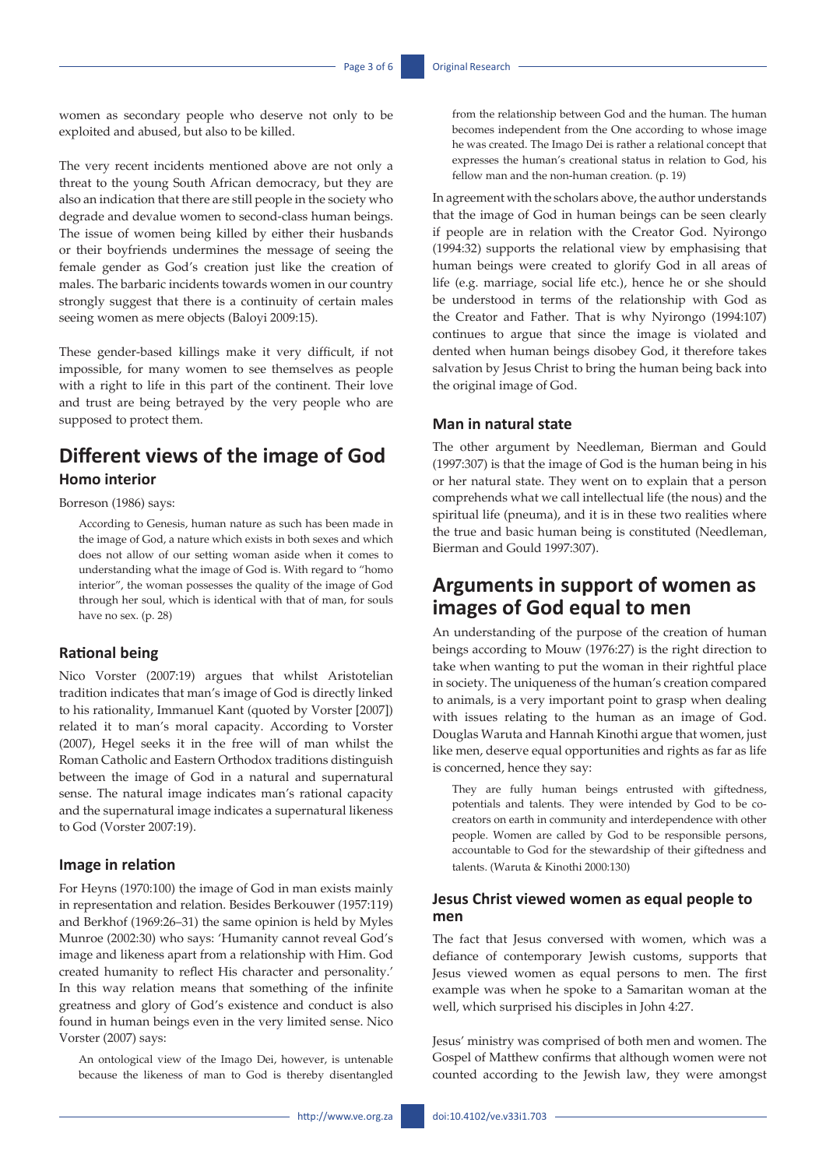women as secondary people who deserve not only to be exploited and abused, but also to be killed.

The very recent incidents mentioned above are not only a threat to the young South African democracy, but they are also an indication that there are still people in the society who degrade and devalue women to second-class human beings. The issue of women being killed by either their husbands or their boyfriends undermines the message of seeing the female gender as God's creation just like the creation of males. The barbaric incidents towards women in our country strongly suggest that there is a continuity of certain males seeing women as mere objects (Baloyi 2009:15).

These gender-based killings make it very difficult, if not impossible, for many women to see themselves as people with a right to life in this part of the continent. Their love and trust are being betrayed by the very people who are supposed to protect them.

# **Different views of the image of God Homo interior**

#### Borreson (1986) says:

According to Genesis, human nature as such has been made in the image of God, a nature which exists in both sexes and which does not allow of our setting woman aside when it comes to understanding what the image of God is. With regard to "homo interior", the woman possesses the quality of the image of God through her soul, which is identical with that of man, for souls have no sex. (p. 28)

#### **Rational being**

Nico Vorster (2007:19) argues that whilst Aristotelian tradition indicates that man's image of God is directly linked to his rationality, Immanuel Kant (quoted by Vorster [2007]) related it to man's moral capacity. According to Vorster (2007), Hegel seeks it in the free will of man whilst the Roman Catholic and Eastern Orthodox traditions distinguish between the image of God in a natural and supernatural sense. The natural image indicates man's rational capacity and the supernatural image indicates a supernatural likeness to God (Vorster 2007:19).

#### **Image in relation**

For Heyns (1970:100) the image of God in man exists mainly in representation and relation. Besides Berkouwer (1957:119) and Berkhof (1969:26–31) the same opinion is held by Myles Munroe (2002:30) who says: 'Humanity cannot reveal God's image and likeness apart from a relationship with Him. God created humanity to reflect His character and personality.' In this way relation means that something of the infinite greatness and glory of God's existence and conduct is also found in human beings even in the very limited sense. Nico Vorster (2007) says:

An ontological view of the Imago Dei, however, is untenable because the likeness of man to God is thereby disentangled

In agreement with the scholars above, the author understands that the image of God in human beings can be seen clearly if people are in relation with the Creator God. Nyirongo (1994:32) supports the relational view by emphasising that human beings were created to glorify God in all areas of life (e.g. marriage, social life etc.), hence he or she should be understood in terms of the relationship with God as the Creator and Father. That is why Nyirongo (1994:107) continues to argue that since the image is violated and dented when human beings disobey God, it therefore takes salvation by Jesus Christ to bring the human being back into the original image of God.

### **Man in natural state**

The other argument by Needleman, Bierman and Gould (1997:307) is that the image of God is the human being in his or her natural state. They went on to explain that a person comprehends what we call intellectual life (the nous) and the spiritual life (pneuma), and it is in these two realities where the true and basic human being is constituted (Needleman, Bierman and Gould 1997:307).

# **Arguments in support of women as images of God equal to men**

An understanding of the purpose of the creation of human beings according to Mouw (1976:27) is the right direction to take when wanting to put the woman in their rightful place in society. The uniqueness of the human's creation compared to animals, is a very important point to grasp when dealing with issues relating to the human as an image of God. Douglas Waruta and Hannah Kinothi argue that women, just like men, deserve equal opportunities and rights as far as life is concerned, hence they say:

They are fully human beings entrusted with giftedness, potentials and talents. They were intended by God to be cocreators on earth in community and interdependence with other people. Women are called by God to be responsible persons, accountable to God for the stewardship of their giftedness and talents. (Waruta & Kinothi 2000:130)

### **Jesus Christ viewed women as equal people to men**

The fact that Jesus conversed with women, which was a defiance of contemporary Jewish customs, supports that Jesus viewed women as equal persons to men. The first example was when he spoke to a Samaritan woman at the well, which surprised his disciples in John 4:27.

Jesus' ministry was comprised of both men and women. The Gospel of Matthew confirms that although women were not counted according to the Jewish law, they were amongst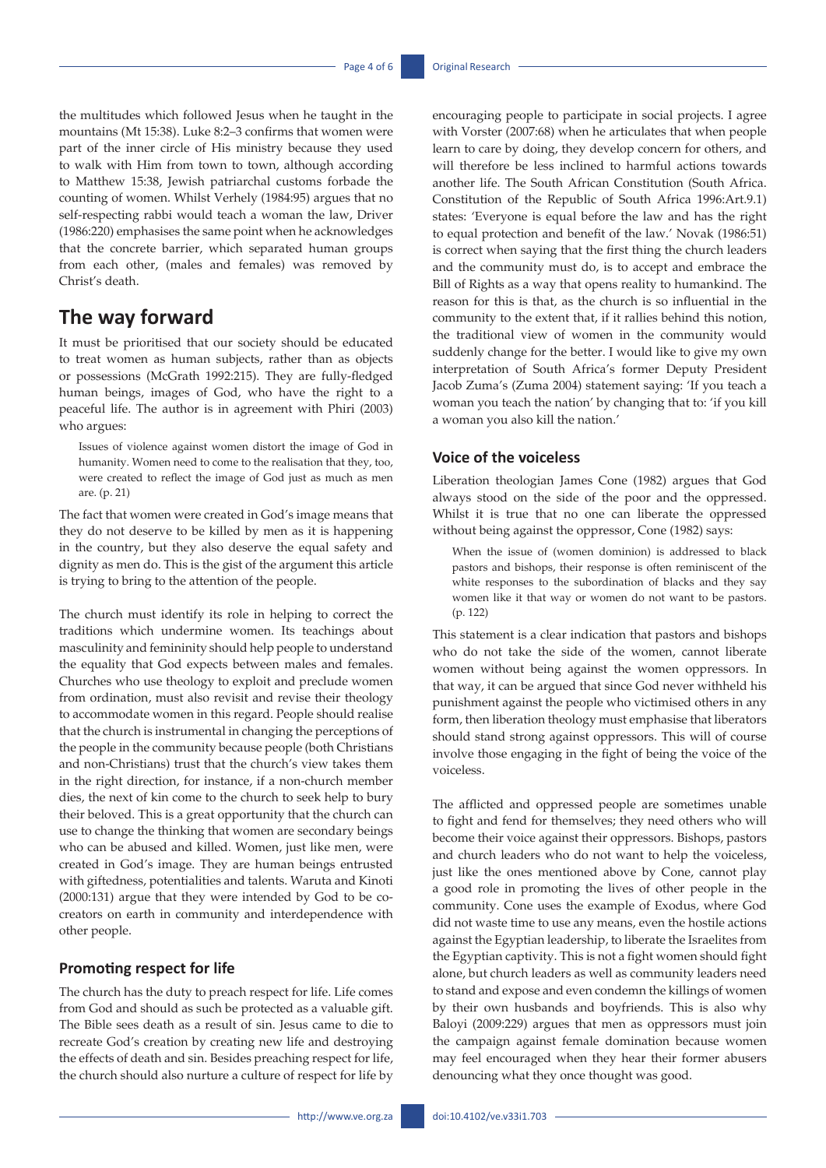the multitudes which followed Jesus when he taught in the mountains (Mt 15:38). Luke 8:2–3 confirms that women were part of the inner circle of His ministry because they used to walk with Him from town to town, although according to Matthew 15:38, Jewish patriarchal customs forbade the counting of women. Whilst Verhely (1984:95) argues that no self-respecting rabbi would teach a woman the law, Driver (1986:220) emphasises the same point when he acknowledges that the concrete barrier, which separated human groups from each other, (males and females) was removed by Christ's death.

# **The way forward**

It must be prioritised that our society should be educated to treat women as human subjects, rather than as objects or possessions (McGrath 1992:215). They are fully-fledged human beings, images of God, who have the right to a peaceful life. The author is in agreement with Phiri (2003) who argues:

Issues of violence against women distort the image of God in humanity. Women need to come to the realisation that they, too, were created to reflect the image of God just as much as men are. (p. 21)

The fact that women were created in God's image means that they do not deserve to be killed by men as it is happening in the country, but they also deserve the equal safety and dignity as men do. This is the gist of the argument this article is trying to bring to the attention of the people.

The church must identify its role in helping to correct the traditions which undermine women. Its teachings about masculinity and femininity should help people to understand the equality that God expects between males and females. Churches who use theology to exploit and preclude women from ordination, must also revisit and revise their theology to accommodate women in this regard. People should realise that the church is instrumental in changing the perceptions of the people in the community because people (both Christians and non-Christians) trust that the church's view takes them in the right direction, for instance, if a non-church member dies, the next of kin come to the church to seek help to bury their beloved. This is a great opportunity that the church can use to change the thinking that women are secondary beings who can be abused and killed. Women, just like men, were created in God's image. They are human beings entrusted with giftedness, potentialities and talents. Waruta and Kinoti (2000:131) argue that they were intended by God to be cocreators on earth in community and interdependence with other people.

### **Promoting respect for life**

The church has the duty to preach respect for life. Life comes from God and should as such be protected as a valuable gift. The Bible sees death as a result of sin. Jesus came to die to recreate God's creation by creating new life and destroying the effects of death and sin. Besides preaching respect for life, the church should also nurture a culture of respect for life by encouraging people to participate in social projects. I agree with Vorster (2007:68) when he articulates that when people learn to care by doing, they develop concern for others, and will therefore be less inclined to harmful actions towards another life. The South African Constitution (South Africa. Constitution of the Republic of South Africa 1996:Art.9.1) states: 'Everyone is equal before the law and has the right to equal protection and benefit of the law.' Novak (1986:51) is correct when saying that the first thing the church leaders and the community must do, is to accept and embrace the Bill of Rights as a way that opens reality to humankind. The reason for this is that, as the church is so influential in the community to the extent that, if it rallies behind this notion, the traditional view of women in the community would suddenly change for the better. I would like to give my own interpretation of South Africa's former Deputy President Jacob Zuma's (Zuma 2004) statement saying: 'If you teach a woman you teach the nation' by changing that to: 'if you kill a woman you also kill the nation.'

### **Voice of the voiceless**

Liberation theologian James Cone (1982) argues that God always stood on the side of the poor and the oppressed. Whilst it is true that no one can liberate the oppressed without being against the oppressor, Cone (1982) says:

When the issue of (women dominion) is addressed to black pastors and bishops, their response is often reminiscent of the white responses to the subordination of blacks and they say women like it that way or women do not want to be pastors. (p. 122)

This statement is a clear indication that pastors and bishops who do not take the side of the women, cannot liberate women without being against the women oppressors. In that way, it can be argued that since God never withheld his punishment against the people who victimised others in any form, then liberation theology must emphasise that liberators should stand strong against oppressors. This will of course involve those engaging in the fight of being the voice of the voiceless.

The afflicted and oppressed people are sometimes unable to fight and fend for themselves; they need others who will become their voice against their oppressors. Bishops, pastors and church leaders who do not want to help the voiceless, just like the ones mentioned above by Cone, cannot play a good role in promoting the lives of other people in the community. Cone uses the example of Exodus, where God did not waste time to use any means, even the hostile actions against the Egyptian leadership, to liberate the Israelites from the Egyptian captivity. This is not a fight women should fight alone, but church leaders as well as community leaders need to stand and expose and even condemn the killings of women by their own husbands and boyfriends. This is also why Baloyi (2009:229) argues that men as oppressors must join the campaign against female domination because women may feel encouraged when they hear their former abusers denouncing what they once thought was good.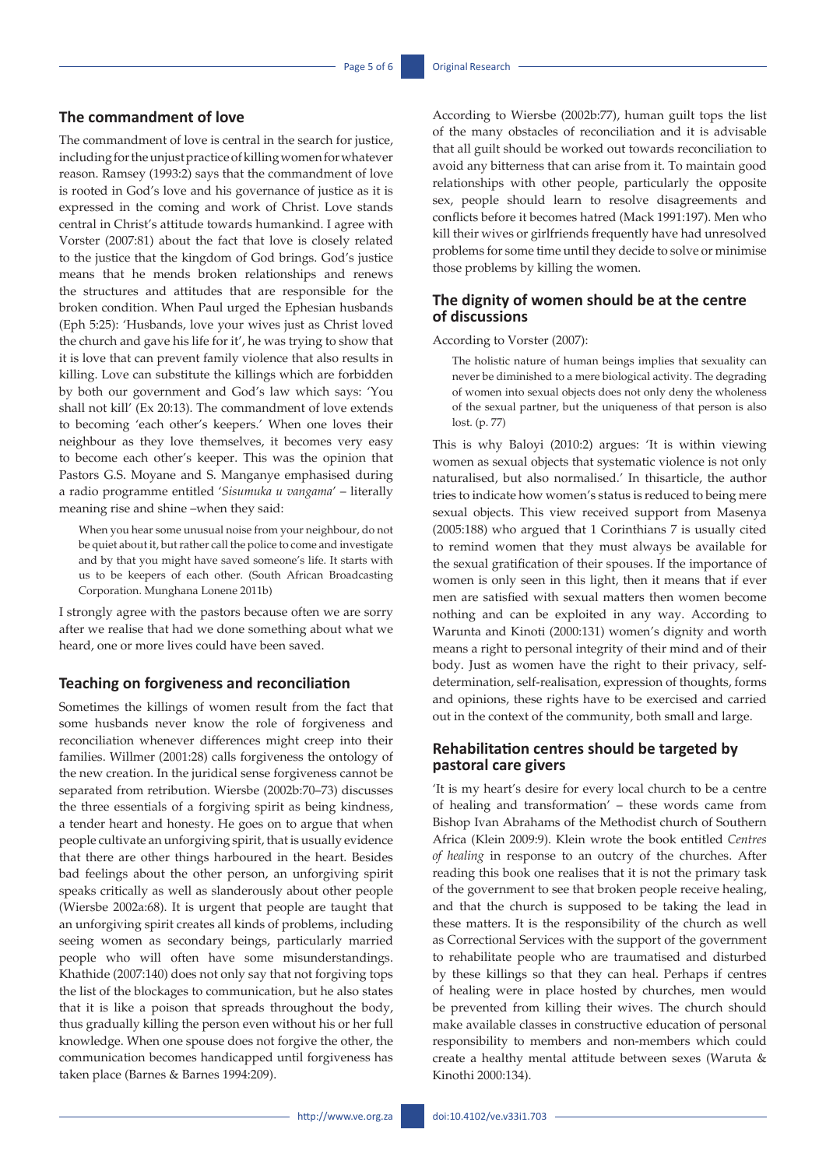### **The commandment of love**

The commandment of love is central in the search for justice, including for the unjust practice of killing women for whatever reason. Ramsey (1993:2) says that the commandment of love is rooted in God's love and his governance of justice as it is expressed in the coming and work of Christ. Love stands central in Christ's attitude towards humankind. I agree with Vorster (2007:81) about the fact that love is closely related to the justice that the kingdom of God brings. God's justice means that he mends broken relationships and renews the structures and attitudes that are responsible for the broken condition. When Paul urged the Ephesian husbands (Eph 5:25): 'Husbands, love your wives just as Christ loved the church and gave his life for it', he was trying to show that it is love that can prevent family violence that also results in killing. Love can substitute the killings which are forbidden by both our government and God's law which says: 'You shall not kill' (Ex 20:13). The commandment of love extends to becoming 'each other's keepers.' When one loves their neighbour as they love themselves, it becomes very easy to become each other's keeper. This was the opinion that Pastors G.S. Moyane and S. Manganye emphasised during a radio programme entitled '*Sisumuka u vangama*' – literally meaning rise and shine –when they said:

When you hear some unusual noise from your neighbour, do not be quiet about it, but rather call the police to come and investigate and by that you might have saved someone's life. It starts with us to be keepers of each other. (South African Broadcasting Corporation. Munghana Lonene 2011b)

I strongly agree with the pastors because often we are sorry after we realise that had we done something about what we heard, one or more lives could have been saved.

#### **Teaching on forgiveness and reconciliation**

Sometimes the killings of women result from the fact that some husbands never know the role of forgiveness and reconciliation whenever differences might creep into their families. Willmer (2001:28) calls forgiveness the ontology of the new creation. In the juridical sense forgiveness cannot be separated from retribution. Wiersbe (2002b:70–73) discusses the three essentials of a forgiving spirit as being kindness, a tender heart and honesty. He goes on to argue that when people cultivate an unforgiving spirit, that is usually evidence that there are other things harboured in the heart. Besides bad feelings about the other person, an unforgiving spirit speaks critically as well as slanderously about other people (Wiersbe 2002a:68). It is urgent that people are taught that an unforgiving spirit creates all kinds of problems, including seeing women as secondary beings, particularly married people who will often have some misunderstandings. Khathide (2007:140) does not only say that not forgiving tops the list of the blockages to communication, but he also states that it is like a poison that spreads throughout the body, thus gradually killing the person even without his or her full knowledge. When one spouse does not forgive the other, the communication becomes handicapped until forgiveness has taken place (Barnes & Barnes 1994:209).

According to Wiersbe (2002b:77), human guilt tops the list of the many obstacles of reconciliation and it is advisable that all guilt should be worked out towards reconciliation to avoid any bitterness that can arise from it. To maintain good relationships with other people, particularly the opposite sex, people should learn to resolve disagreements and conflicts before it becomes hatred (Mack 1991:197). Men who kill their wives or girlfriends frequently have had unresolved problems for some time until they decide to solve or minimise those problems by killing the women.

### **The dignity of women should be at the centre of discussions**

According to Vorster (2007):

The holistic nature of human beings implies that sexuality can never be diminished to a mere biological activity. The degrading of women into sexual objects does not only deny the wholeness of the sexual partner, but the uniqueness of that person is also lost. (p. 77)

This is why Baloyi (2010:2) argues: 'It is within viewing women as sexual objects that systematic violence is not only naturalised, but also normalised.' In thisarticle, the author tries to indicate how women's status is reduced to being mere sexual objects. This view received support from Masenya (2005:188) who argued that 1 Corinthians 7 is usually cited to remind women that they must always be available for the sexual gratification of their spouses. If the importance of women is only seen in this light, then it means that if ever men are satisfied with sexual matters then women become nothing and can be exploited in any way. According to Warunta and Kinoti (2000:131) women's dignity and worth means a right to personal integrity of their mind and of their body. Just as women have the right to their privacy, selfdetermination, self-realisation, expression of thoughts, forms and opinions, these rights have to be exercised and carried out in the context of the community, both small and large.

### **Rehabilitation centres should be targeted by pastoral care givers**

'It is my heart's desire for every local church to be a centre of healing and transformation' – these words came from Bishop Ivan Abrahams of the Methodist church of Southern Africa (Klein 2009:9). Klein wrote the book entitled *Centres of healing* in response to an outcry of the churches. After reading this book one realises that it is not the primary task of the government to see that broken people receive healing, and that the church is supposed to be taking the lead in these matters. It is the responsibility of the church as well as Correctional Services with the support of the government to rehabilitate people who are traumatised and disturbed by these killings so that they can heal. Perhaps if centres of healing were in place hosted by churches, men would be prevented from killing their wives. The church should make available classes in constructive education of personal responsibility to members and non-members which could create a healthy mental attitude between sexes (Waruta & Kinothi 2000:134).